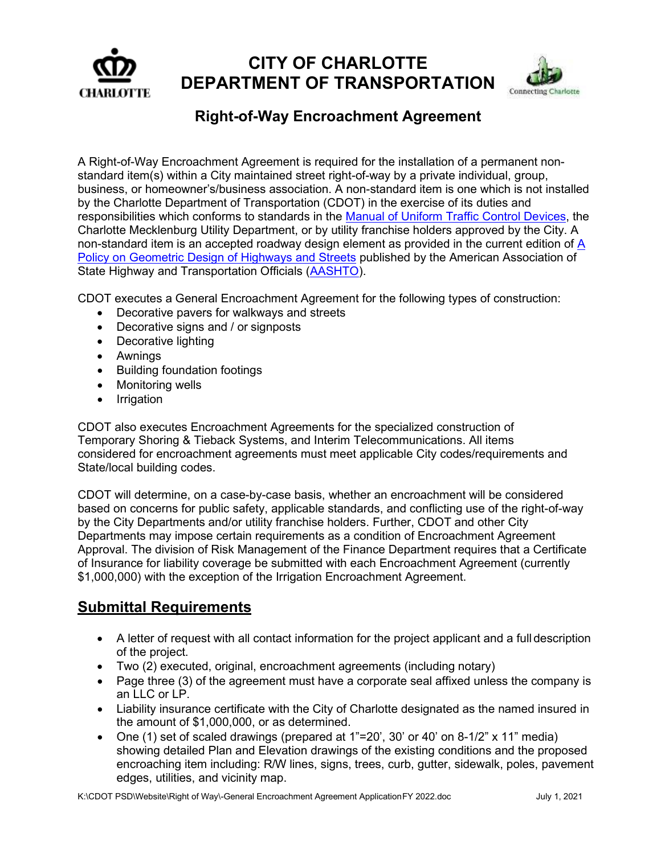

# **CITY OF CHARLOTTE DEPARTMENT OF TRANSPORTATION**



## **Right-of-Way Encroachment Agreement**

A Right-of-Way Encroachment Agreement is required for the installation of a permanent nonstandard item(s) within a City maintained street right-of-way by a private individual, group, business, or homeowner's/business association. A non-standard item is one which is not installed by the Charlotte Department of Transportation (CDOT) in the exercise of its duties and responsibilities which conforms to standards in the [Manual of Uniform Traffic Control Devices,](https://mutcd.fhwa.dot.gov/) the Charlotte Mecklenburg Utility Department, or by utility franchise holders approved by the City. A non-standard item is an accepted roadway design element as provided in the current edition of [A](https://nacto.org/wp-content/uploads/2015/04/GDHS-6_ToC.pdf) [Policy on Geometric Design of Highways and Streets](https://nacto.org/wp-content/uploads/2015/04/GDHS-6_ToC.pdf) published by the American Association of State Highway and Transportation Officials [\(AASHTO\)](https://www.transportation.org/).

CDOT executes a General Encroachment Agreement for the following types of construction:

- Decorative pavers for walkways and streets
- Decorative signs and / or signposts
- Decorative lighting
- Awnings
- Building foundation footings
- Monitoring wells
- Irrigation

CDOT also executes Encroachment Agreements for the specialized construction of Temporary Shoring & Tieback Systems, and Interim Telecommunications. All items considered for encroachment agreements must meet applicable City codes/requirements and State/local building codes.

CDOT will determine, on a case-by-case basis, whether an encroachment will be considered based on concerns for public safety, applicable standards, and conflicting use of the right-of-way by the City Departments and/or utility franchise holders. Further, CDOT and other City Departments may impose certain requirements as a condition of Encroachment Agreement Approval. The division of Risk Management of the Finance Department requires that a Certificate of Insurance for liability coverage be submitted with each Encroachment Agreement (currently \$1,000,000) with the exception of the Irrigation Encroachment Agreement.

### **Submittal Requirements**

- A letter of request with all contact information for the project applicant and a full description of the project.
- Two (2) executed, original, encroachment agreements (including notary)
- Page three (3) of the agreement must have a corporate seal affixed unless the company is an LLC or LP.
- Liability insurance certificate with the City of Charlotte designated as the named insured in the amount of \$1,000,000, or as determined.
- One (1) set of scaled drawings (prepared at 1"=20', 30' or 40' on 8-1/2" x 11" media) showing detailed Plan and Elevation drawings of the existing conditions and the proposed encroaching item including: R/W lines, signs, trees, curb, gutter, sidewalk, poles, pavement edges, utilities, and vicinity map.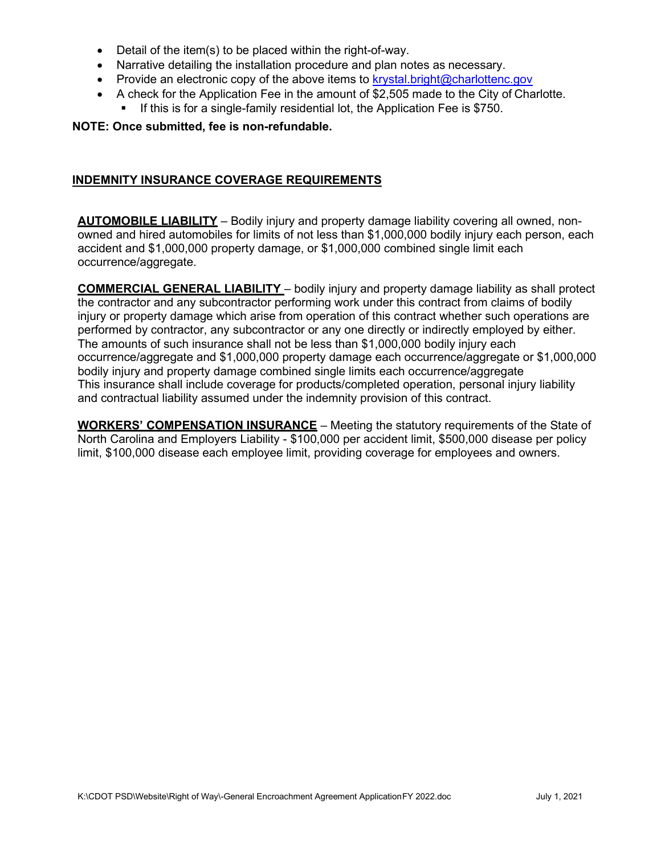- Detail of the item(s) to be placed within the right-of-way.
- Narrative detailing the installation procedure and plan notes as necessary.
- Provide an electronic copy of the above items to [krystal.bright@charlottenc.gov](mailto:krystal.bright@charlottenc.gov)
- A check for the Application Fee in the amount of \$2,505 made to the City of Charlotte.
	- If this is for a single-family residential lot, the Application Fee is \$750.

#### **NOTE: Once submitted, fee is non-refundable.**

#### **INDEMNITY INSURANCE COVERAGE REQUIREMENTS**

**AUTOMOBILE LIABILITY** – Bodily injury and property damage liability covering all owned, nonowned and hired automobiles for limits of not less than \$1,000,000 bodily injury each person, each accident and \$1,000,000 property damage, or \$1,000,000 combined single limit each occurrence/aggregate.

**COMMERCIAL GENERAL LIABILITY** – bodily injury and property damage liability as shall protect the contractor and any subcontractor performing work under this contract from claims of bodily injury or property damage which arise from operation of this contract whether such operations are performed by contractor, any subcontractor or any one directly or indirectly employed by either. The amounts of such insurance shall not be less than \$1,000,000 bodily injury each occurrence/aggregate and \$1,000,000 property damage each occurrence/aggregate or \$1,000,000 bodily injury and property damage combined single limits each occurrence/aggregate This insurance shall include coverage for products/completed operation, personal injury liability and contractual liability assumed under the indemnity provision of this contract.

**WORKERS' COMPENSATION INSURANCE** – Meeting the statutory requirements of the State of North Carolina and Employers Liability - \$100,000 per accident limit, \$500,000 disease per policy limit, \$100,000 disease each employee limit, providing coverage for employees and owners.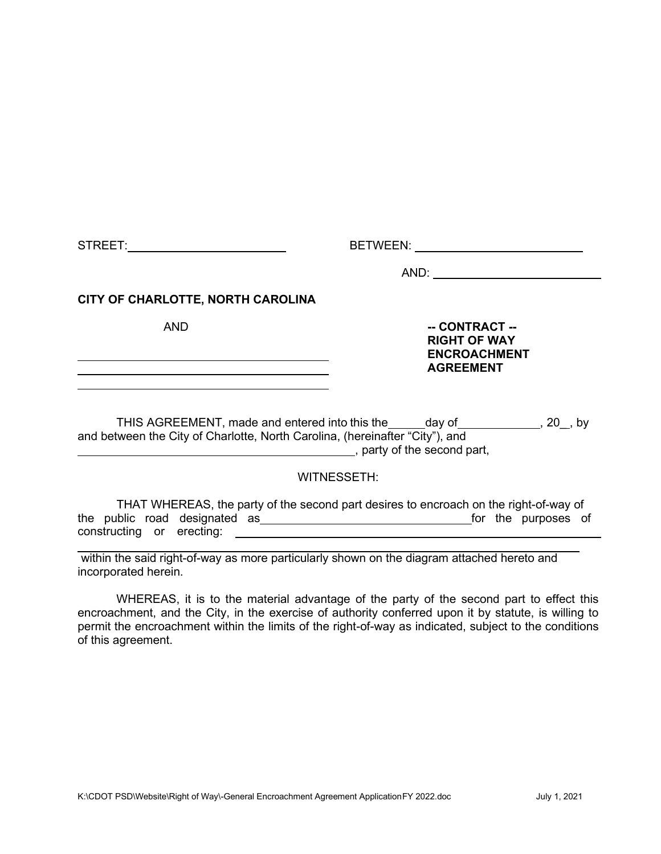STREET: BETWEEN:

AND:

#### **CITY OF CHARLOTTE, NORTH CAROLINA**

AND **-- CONTRACT -- RIGHT OF WAY ENCROACHMENT AGREEMENT**

THIS AGREEMENT, made and entered into this the \_\_\_\_\_day of \_\_\_\_\_\_\_\_\_\_\_\_\_, 20<sub>\_\_</sub>, by and between the City of Charlotte, North Carolina, (hereinafter "City"), and **LECTER**, party of the second part.

#### WITNESSETH:

THAT WHEREAS, the party of the second part desires to encroach on the right-of-way of the public road designated as **for the purposes** of constructing or erecting:

within the said right-of-way as more particularly shown on the diagram attached hereto and incorporated herein.

WHEREAS, it is to the material advantage of the party of the second part to effect this encroachment, and the City, in the exercise of authority conferred upon it by statute, is willing to permit the encroachment within the limits of the right-of-way as indicated, subject to the conditions of this agreement.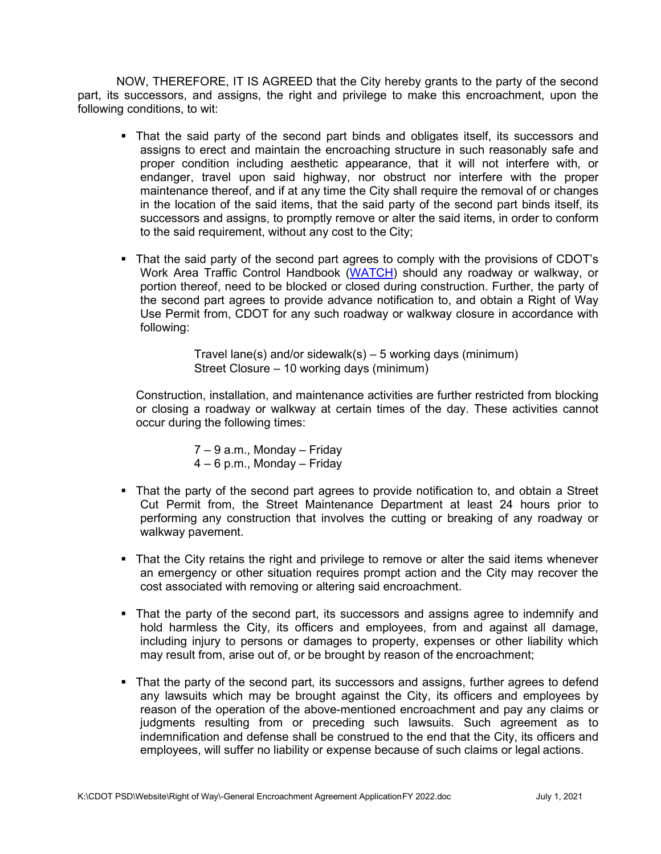NOW, THEREFORE, IT IS AGREED that the City hereby grants to the party of the second part, its successors, and assigns, the right and privilege to make this encroachment, upon the following conditions, to wit:

- That the said party of the second part binds and obligates itself, its successors and assigns to erect and maintain the encroaching structure in such reasonably safe and proper condition including aesthetic appearance, that it will not interfere with, or endanger, travel upon said highway, nor obstruct nor interfere with the proper maintenance thereof, and if at any time the City shall require the removal of or changes in the location of the said items, that the said party of the second part binds itself, its successors and assigns, to promptly remove or alter the said items, in order to conform to the said requirement, without any cost to the City;
- That the said party of the second part agrees to comply with the provisions of CDOT's Work Area Traffic Control Handbook [\(WATCH\)](http://charlottenc.gov/Transportation/Permits/Pages/WATCH.aspx) should any roadway or walkway, or portion thereof, need to be blocked or closed during construction. Further, the party of the second part agrees to provide advance notification to, and obtain a Right of Way Use Permit from, CDOT for any such roadway or walkway closure in accordance with following:

Travel lane(s) and/or sidewalk(s) – 5 working days (minimum) Street Closure – 10 working days (minimum)

Construction, installation, and maintenance activities are further restricted from blocking or closing a roadway or walkway at certain times of the day. These activities cannot occur during the following times:

> 7 – 9 a.m., Monday – Friday 4 – 6 p.m., Monday – Friday

- That the party of the second part agrees to provide notification to, and obtain a Street Cut Permit from, the Street Maintenance Department at least 24 hours prior to performing any construction that involves the cutting or breaking of any roadway or walkway pavement.
- That the City retains the right and privilege to remove or alter the said items whenever an emergency or other situation requires prompt action and the City may recover the cost associated with removing or altering said encroachment.
- That the party of the second part, its successors and assigns agree to indemnify and hold harmless the City, its officers and employees, from and against all damage, including injury to persons or damages to property, expenses or other liability which may result from, arise out of, or be brought by reason of the encroachment;
- That the party of the second part, its successors and assigns, further agrees to defend any lawsuits which may be brought against the City, its officers and employees by reason of the operation of the above-mentioned encroachment and pay any claims or judgments resulting from or preceding such lawsuits. Such agreement as to indemnification and defense shall be construed to the end that the City, its officers and employees, will suffer no liability or expense because of such claims or legal actions.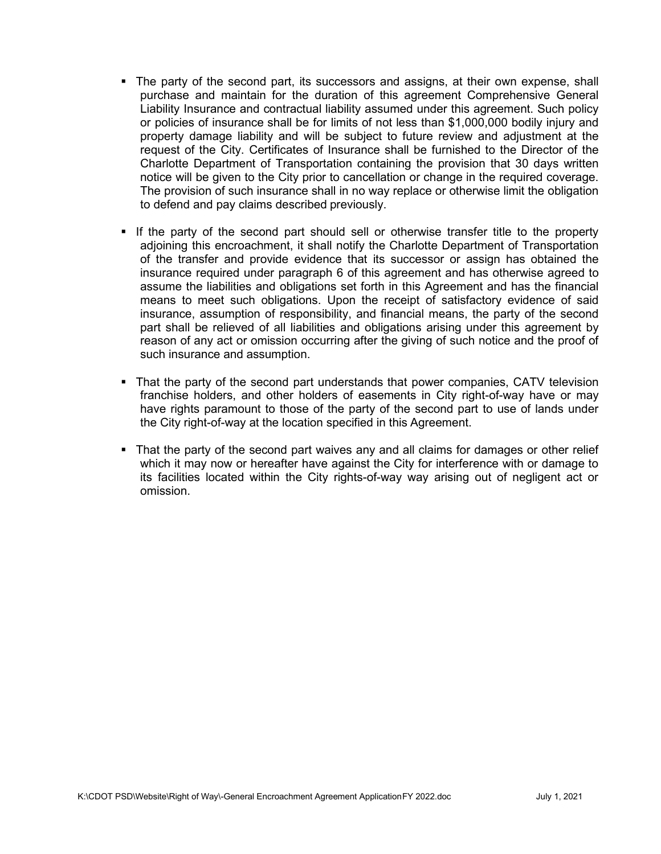- The party of the second part, its successors and assigns, at their own expense, shall purchase and maintain for the duration of this agreement Comprehensive General Liability Insurance and contractual liability assumed under this agreement. Such policy or policies of insurance shall be for limits of not less than \$1,000,000 bodily injury and property damage liability and will be subject to future review and adjustment at the request of the City. Certificates of Insurance shall be furnished to the Director of the Charlotte Department of Transportation containing the provision that 30 days written notice will be given to the City prior to cancellation or change in the required coverage. The provision of such insurance shall in no way replace or otherwise limit the obligation to defend and pay claims described previously.
- If the party of the second part should sell or otherwise transfer title to the property adjoining this encroachment, it shall notify the Charlotte Department of Transportation of the transfer and provide evidence that its successor or assign has obtained the insurance required under paragraph 6 of this agreement and has otherwise agreed to assume the liabilities and obligations set forth in this Agreement and has the financial means to meet such obligations. Upon the receipt of satisfactory evidence of said insurance, assumption of responsibility, and financial means, the party of the second part shall be relieved of all liabilities and obligations arising under this agreement by reason of any act or omission occurring after the giving of such notice and the proof of such insurance and assumption.
- That the party of the second part understands that power companies, CATV television franchise holders, and other holders of easements in City right-of-way have or may have rights paramount to those of the party of the second part to use of lands under the City right-of-way at the location specified in this Agreement.
- That the party of the second part waives any and all claims for damages or other relief which it may now or hereafter have against the City for interference with or damage to its facilities located within the City rights-of-way way arising out of negligent act or omission.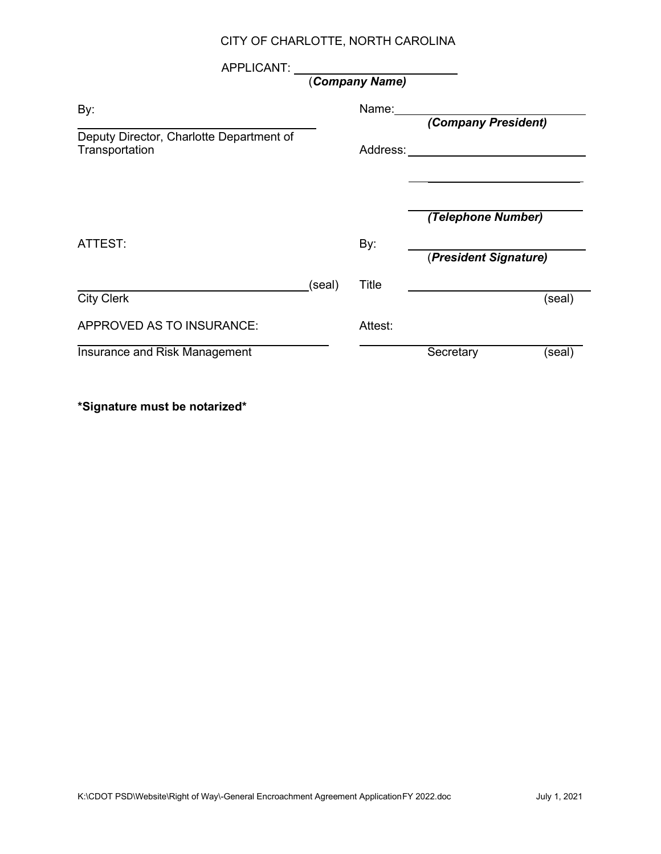#### CITY OF CHARLOTTE, NORTH CAROLINA

| APPLICANT:                                                 |        |                |                                  |        |
|------------------------------------------------------------|--------|----------------|----------------------------------|--------|
|                                                            |        | (Company Name) |                                  |        |
| By:                                                        |        | Name:          | (Company President)              |        |
| Deputy Director, Charlotte Department of<br>Transportation |        |                | Address: _______________________ |        |
|                                                            |        |                | (Telephone Number)               |        |
| ATTEST:                                                    |        | By:            | (President Signature)            |        |
| <b>City Clerk</b>                                          | (seal) | Title          |                                  | (seal) |
| APPROVED AS TO INSURANCE:                                  |        | Attest:        |                                  |        |
| Insurance and Risk Management                              |        |                | Secretary                        | (seal) |

**\*Signature must be notarized\***